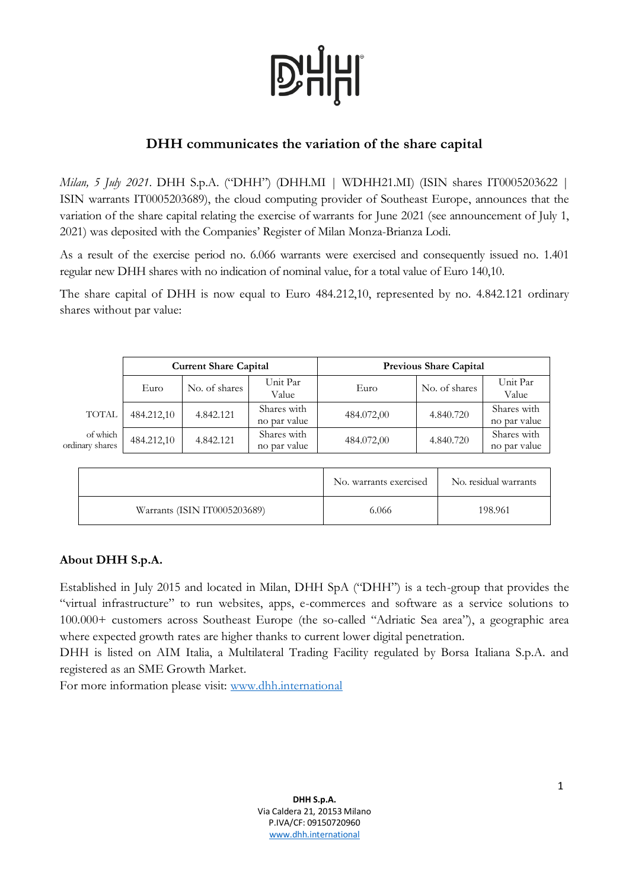# **D'HHI**

## **DHH communicates the variation of the share capital**

*Milan, 5 July 2021*. DHH S.p.A. ("DHH") (DHH.MI | WDHH21.MI) (ISIN shares IT0005203622 | ISIN warrants IT0005203689), the cloud computing provider of Southeast Europe, announces that the variation of the share capital relating the exercise of warrants for June 2021 (see announcement of July 1, 2021) was deposited with the Companies' Register of Milan Monza-Brianza Lodi.

As a result of the exercise period no. 6.066 warrants were exercised and consequently issued no. 1.401 regular new DHH shares with no indication of nominal value, for a total value of Euro 140,10.

The share capital of DHH is now equal to Euro 484.212,10, represented by no. 4.842.121 ordinary shares without par value:

|                             | <b>Current Share Capital</b> |               |                             | <b>Previous Share Capital</b> |               |                             |
|-----------------------------|------------------------------|---------------|-----------------------------|-------------------------------|---------------|-----------------------------|
|                             | Euro                         | No. of shares | Unit Par<br>Value           | Euro                          | No. of shares | Unit Par<br>Value           |
| <b>TOTAL</b>                | 484.212,10                   | 4.842.121     | Shares with<br>no par value | 484.072,00                    | 4.840.720     | Shares with<br>no par value |
| of which<br>ordinary shares | 484.212,10                   | 4.842.121     | Shares with<br>no par value | 484.072,00                    | 4.840.720     | Shares with<br>no par value |

|                              | No. warrants exercised | No. residual warrants |
|------------------------------|------------------------|-----------------------|
| Warrants (ISIN IT0005203689) | 6.066                  | 198.961               |

## **About DHH S.p.A.**

Established in July 2015 and located in Milan, DHH SpA ("DHH") is a tech-group that provides the "virtual infrastructure" to run websites, apps, e-commerces and software as a service solutions to 100.000+ customers across Southeast Europe (the so-called "Adriatic Sea area"), a geographic area where expected growth rates are higher thanks to current lower digital penetration.

DHH is listed on AIM Italia, a Multilateral Trading Facility regulated by Borsa Italiana S.p.A. and registered as an SME Growth Market.

For more information please visit: [www.dhh.international](http://www.dhh.international/)